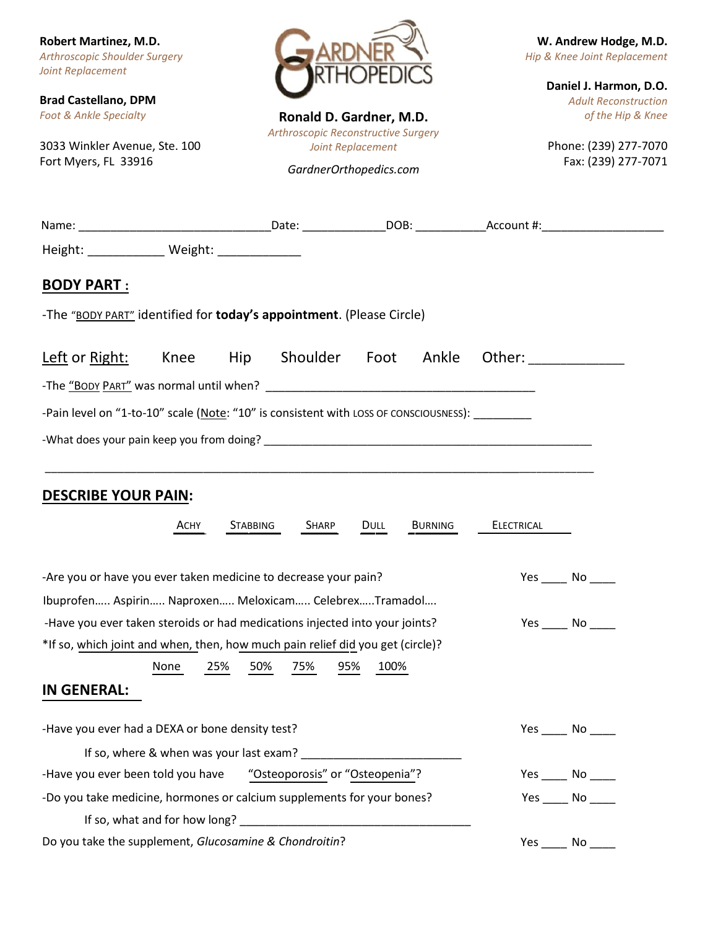**Robert Martinez, M.D.** *Arthroscopic Shoulder Surgery Joint Replacement*

**Brad Castellano, DPM** *Foot & Ankle Specialty*

3033 Winkler Avenue, Ste. 100 Fort Myers, FL 33916



**Ronald D. Gardner, M.D.** *Arthroscopic Reconstructive Surgery Joint Replacement GardnerOrthopedics.com*

**W. Andrew Hodge, M.D.** *Hip & Knee Joint Replacement*

> **Daniel J. Harmon, D.O.** *Adult Reconstruction of the Hip & Knee*

Phone: (239) 277-7070 Fax: (239) 277-7071

| Height: _____________ Weight: _____________                                                     |                                         |            |            |      |                |                                                                                                                                                                                                                                |                 |
|-------------------------------------------------------------------------------------------------|-----------------------------------------|------------|------------|------|----------------|--------------------------------------------------------------------------------------------------------------------------------------------------------------------------------------------------------------------------------|-----------------|
| <b>BODY PART:</b>                                                                               |                                         |            |            |      |                |                                                                                                                                                                                                                                |                 |
| -The "BODY PART" identified for <b>today's appointment</b> . (Please Circle)                    |                                         |            |            |      |                |                                                                                                                                                                                                                                |                 |
| Left or Right:                                                                                  | Knee                                    | Hip        | Shoulder   | Foot | Ankle          | Other: and the control of the control of the control of the control of the control of the control of the control of the control of the control of the control of the control of the control of the control of the control of t |                 |
|                                                                                                 |                                         |            |            |      |                |                                                                                                                                                                                                                                |                 |
| -Pain level on "1-to-10" scale (Note: "10" is consistent with LOSS OF CONSCIOUSNESS): _________ |                                         |            |            |      |                |                                                                                                                                                                                                                                |                 |
|                                                                                                 |                                         |            |            |      |                |                                                                                                                                                                                                                                |                 |
|                                                                                                 |                                         |            |            |      |                |                                                                                                                                                                                                                                |                 |
| <b>DESCRIBE YOUR PAIN:</b>                                                                      |                                         |            |            |      |                |                                                                                                                                                                                                                                |                 |
|                                                                                                 | ACHY                                    | STABBING   | SHARP      | Dull | <b>BURNING</b> | <b>ELECTRICAL</b>                                                                                                                                                                                                              |                 |
|                                                                                                 |                                         |            |            |      |                |                                                                                                                                                                                                                                |                 |
| -Are you or have you ever taken medicine to decrease your pain?                                 |                                         |            |            |      |                |                                                                                                                                                                                                                                | Yes No          |
| Ibuprofen Aspirin Naproxen Meloxicam CelebrexTramadol                                           |                                         |            |            |      |                |                                                                                                                                                                                                                                |                 |
| -Have you ever taken steroids or had medications injected into your joints?                     |                                         |            |            |      |                |                                                                                                                                                                                                                                | $Yes$ No $\_\_$ |
| *If so, which joint and when, then, how much pain relief did you get (circle)?                  |                                         |            |            |      |                |                                                                                                                                                                                                                                |                 |
|                                                                                                 | None                                    | 50%<br>25% | 75%<br>95% | 100% |                |                                                                                                                                                                                                                                |                 |
| <b>IN GENERAL:</b>                                                                              |                                         |            |            |      |                |                                                                                                                                                                                                                                |                 |
| -Have you ever had a DEXA or bone density test?                                                 |                                         |            |            |      |                |                                                                                                                                                                                                                                | $Yes$ No $\_\_$ |
|                                                                                                 | If so, where & when was your last exam? |            |            |      |                |                                                                                                                                                                                                                                |                 |
| "Osteoporosis" or "Osteopenia"?<br>-Have you ever been told you have                            |                                         |            |            |      |                |                                                                                                                                                                                                                                | $Yes$ No _____  |
| -Do you take medicine, hormones or calcium supplements for your bones?                          |                                         |            |            |      |                | $Yes$ No                                                                                                                                                                                                                       |                 |
|                                                                                                 |                                         |            |            |      |                |                                                                                                                                                                                                                                |                 |
| Do you take the supplement, Glucosamine & Chondroitin?                                          |                                         |            |            |      |                |                                                                                                                                                                                                                                | Yes No          |